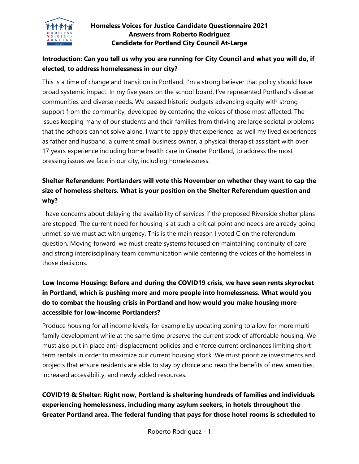

#### **Homeless Voices for Justice Candidate Questionnaire 2021 Answers from Roberto Rodriguez Candidate for Portland City Council At-Large**

### **Introduction: Can you tell us why you are running for City Council and what you will do, if elected, to address homelessness in our city?**

This is a time of change and transition in Portland. I'm a strong believer that policy should have broad systemic impact. In my five years on the school board, I've represented Portland's diverse communities and diverse needs. We passed historic budgets advancing equity with strong support from the community, developed by centering the voices of those most affected. The issues keeping many of our students and their families from thriving are large societal problems that the schools cannot solve alone. I want to apply that experience, as well my lived experiences as father and husband, a current small business owner, a physical therapist assistant with over 17 years experience including home health care in Greater Portland, to address the most pressing issues we face in our city, including homelessness.

### **Shelter Referendum: Portlanders will vote this November on whether they want to cap the size of homeless shelters. What is your position on the Shelter Referendum question and why?**

I have concerns about delaying the availability of services if the proposed Riverside shelter plans are stopped. The current need for housing is at such a critical point and needs are already going unmet, so we must act with urgency. This is the main reason I voted C on the referendum question. Moving forward, we must create systems focused on maintaining continuity of care and strong interdisciplinary team communication while centering the voices of the homeless in those decisions.

## **Low Income Housing: Before and during the COVID19 crisis, we have seen rents skyrocket in Portland, which is pushing more and more people into homelessness. What would you do to combat the housing crisis in Portland and how would you make housing more accessible for low-income Portlanders?**

Produce housing for all income levels, for example by updating zoning to allow for more multifamily development while at the same time preserve the current stock of affordable housing. We must also put in place anti-displacement policies and enforce current ordinances limiting short term rentals in order to maximize our current housing stock. We must prioritize investments and projects that ensure residents are able to stay by choice and reap the benefits of new amenities, increased accessibility, and newly added resources.

## **COVID19 & Shelter: Right now, Portland is sheltering hundreds of families and individuals experiencing homelessness, including many asylum seekers, in hotels throughout the Greater Portland area. The federal funding that pays for those hotel rooms is scheduled to**

Roberto Rodriguez - 1